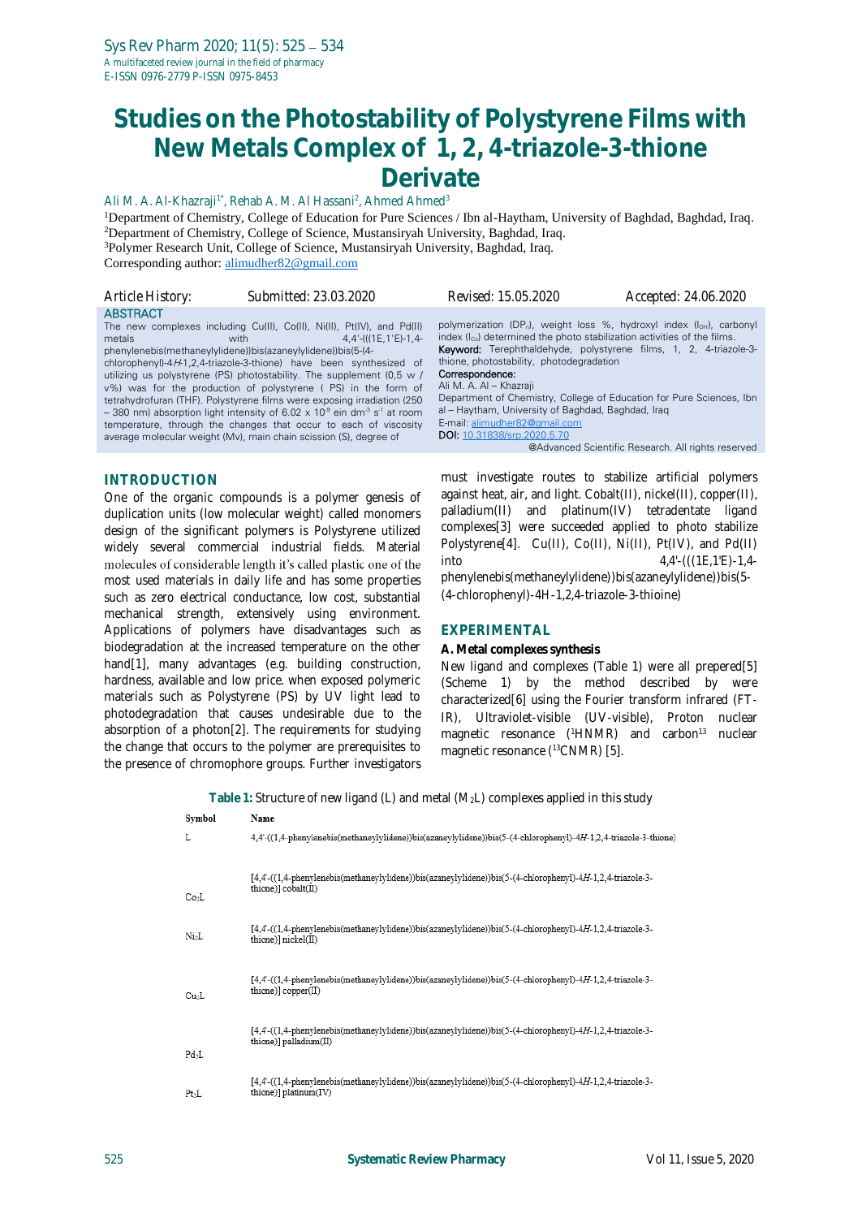# **Studies on the Photostability of Polystyrene Films with New Metals Complex of 1, 2, 4-triazole-3-thione Derivate**

Ali M. A. Al-Khazraji<sup>1\*</sup>, Rehab A. M. Al Hassani<sup>2</sup>, Ahmed Ahmed<sup>3</sup>

Department of Chemistry, College of Education for Pure Sciences / Ibn al-Haytham, University of Baghdad, Baghdad, Iraq. Department of Chemistry, College of Science, Mustansiryah University, Baghdad, Iraq. Polymer Research Unit, College of Science, Mustansiryah University, Baghdad, Iraq. Corresponding author[: alimudher82@gmail.com](mailto:alimudher82@gmail.com)

| Article History:          | Submitted: 23.03.2020                                                                                                                                                                                                                                                                                                                                                                                                                                                                                                                                                                                                                                                                                                                                                                                                                                                                                                                                        | Revised: 15.05.2020                                                                                                                                                                                                                                                                                                                                                                                                                                                                                                                          | Accepted: 24.06.2020                               |
|---------------------------|--------------------------------------------------------------------------------------------------------------------------------------------------------------------------------------------------------------------------------------------------------------------------------------------------------------------------------------------------------------------------------------------------------------------------------------------------------------------------------------------------------------------------------------------------------------------------------------------------------------------------------------------------------------------------------------------------------------------------------------------------------------------------------------------------------------------------------------------------------------------------------------------------------------------------------------------------------------|----------------------------------------------------------------------------------------------------------------------------------------------------------------------------------------------------------------------------------------------------------------------------------------------------------------------------------------------------------------------------------------------------------------------------------------------------------------------------------------------------------------------------------------------|----------------------------------------------------|
| <b>ABSTRACT</b><br>metals | The new complexes including Cu(II), Co(II), Ni(II), Pt(IV), and Pd(II)<br>$4,4'$ -(((1E, 1'E)-1, 4-<br>with the contract of the contract of the contract of the contract of the contract of the contract of the contract of the contract of the contract of the contract of the contract of the contract of the contract of the contr<br>phenylenebis(methaneylylidene))bis(azaneylylidene))bis(5-(4-<br>chlorophenyl)-4/-41,2,4-triazole-3-thione) have been synthesized of<br>utilizing us polystyrene (PS) photostability. The supplement (0,5 w /<br>v%) was for the production of polystyrene (PS) in the form of<br>tetrahydrofuran (THF). Polystyrene films were exposing irradiation (250<br>$-$ 380 nm) absorption light intensity of 6.02 x 10 <sup>-9</sup> ein dm <sup>-3</sup> s <sup>-1</sup> at room<br>temperature, through the changes that occur to each of viscosity<br>average molecular weight (Mv), main chain scission (S), degree of | polymerization (DP <sub>n</sub> ), weight loss %, hydroxyl index (loH), carbonyl<br>index (I <sub>co</sub> ) determined the photo stabilization activities of the films.<br><b>Keyword:</b> Terephthaldehyde, polystyrene films, 1, 2, 4-triazole-3-<br>thione, photostability, photodegradation<br>Correspondence:<br>Ali M. A. Al - Khazraji<br>Department of Chemistry, College of Education for Pure Sciences, Ibn<br>al – Haytham, University of Baghdad, Baghdad, Iraq<br>E-mail: alimudher82@gmail.com<br>DOI: 10.31838/srp.2020.5.70 | @Advanced Scientific Research. All rights reserved |
|                           |                                                                                                                                                                                                                                                                                                                                                                                                                                                                                                                                                                                                                                                                                                                                                                                                                                                                                                                                                              |                                                                                                                                                                                                                                                                                                                                                                                                                                                                                                                                              |                                                    |

#### **INTRODUCTION**

One of the organic compounds is a polymer genesis of duplication units (low molecular weight) called monomers design of the significant polymers is Polystyrene utilized widely several commercial industrial fields. Material molecules of considerable length it's called plastic one of the most used materials in daily life and has some properties such as zero electrical conductance, low cost, substantial mechanical strength, extensively using environment. Applications of polymers have disadvantages such as biodegradation at the increased temperature on the other hand[1], many advantages (e.g. building construction, hardness, available and low price. when exposed polymeric materials such as Polystyrene (PS) by UV light lead to photodegradation that causes undesirable due to the absorption of a photon[2]. The requirements for studying the change that occurs to the polymer are prerequisites to the presence of chromophore groups. Further investigators

must investigate routes to stabilize artificial polymers against heat, air, and light. Cobalt(II), nickel(II), copper(II), palladium(II) and platinum(IV) tetradentate ligand complexes[3] were succeeded applied to photo stabilize Polystyrene[4]. Cu(II), Co(II), Ni(II), Pt(IV), and Pd(II) into 4,4'-(((1E,1'E)-1,4 phenylenebis(methaneylylidene))bis(azaneylylidene))bis(5- (4-chlorophenyl)-4*H*-1,2,4-triazole-3-thioine)

#### **EXPERIMENTAL**

#### **A. Metal complexes synthesis**

New ligand and complexes (Table 1) were all prepered[5] (Scheme 1) by the method described by were characterized[6] using the Fourier transform infrared (FT-IR), Ultraviolet-visible **(**UV-visible), Proton nuclear magnetic resonance (<sup>1</sup>HNMR) and carbon<sup>13</sup> nuclear magnetic resonance ( <sup>13</sup>CNMR) [5].

**Table 1:** Structure of new ligand (L) and metal (M2L) complexes applied in this study

| Symbol            | Name                                                                                                                                 |
|-------------------|--------------------------------------------------------------------------------------------------------------------------------------|
| L                 | 4.4'-((1,4-phenylenebis(methaneylylidene))bis(azaneylylidene))bis(5-(4-chlorophenyl)-4H-1,2,4-triazole-3-thione)                     |
| Co <sub>2</sub> L | [4,4'-((1,4-phenylenebis(methaneylylidene))bis(azaneylylidene))bis(5-(4-chlorophenyl)-4H-1,2,4-triazole-3-<br>thione)] cobalt(II)    |
| Ni2L              | [4,4'-((1,4-phenylenebis(methaneylylidene))bis(azaneylylidene))bis(5-(4-chlorophenyl)-4H-1,2,4-triazole-3-<br>thione)] nickel(II)    |
| Cu <sub>2</sub> L | [4.4'-((1.4-phenylenebis(methaneylylidene))bis(azaneylylidene))bis(5-(4-chlorophenyl)-4H-1.2.4-triazole-3-<br>thione)] copper(II)    |
| $Pd_2L$           | [4,4'-((1,4-phenylenebis(methaneylylidene))bis(azaneylylidene))bis(5-(4-chlorophenyl)-4H-1,2,4-triazole-3-<br>thione)] palladium(II) |
| Pt <sub>2</sub> L | [4,4'-((1,4-phenylenebis(methaneylylidene))bis(azaneylylidene))bis(5-(4-chlorophenyl)-4H-1,2,4-triazole-3-<br>thione)] platinum(IV)  |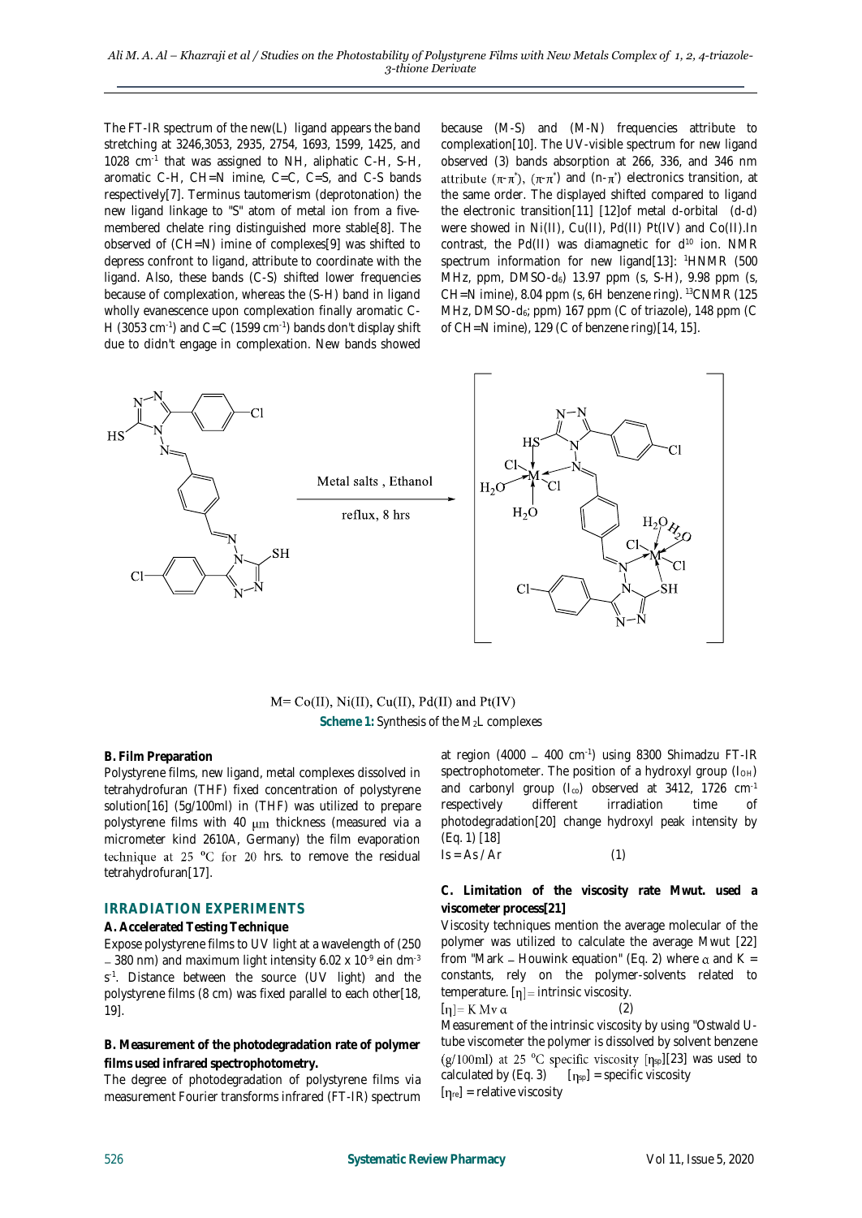The FT-IR spectrum of the new(L) ligand appears the band stretching at 3246,3053, 2935, 2754, 1693, 1599, 1425, and 1028 cm-1 that was assigned to NH, aliphatic C-H, S-H, aromatic C-H, CH=N imine, C=C, C=S, and C-S bands respectively[7]. Terminus tautomerism (deprotonation) the new ligand linkage to "S" atom of metal ion from a fivemembered chelate ring distinguished more stable[8]. The observed of (CH=N) imine of complexes[9] was shifted to depress confront to ligand, attribute to coordinate with the ligand. Also, these bands (C-S) shifted lower frequencies because of complexation, whereas the (S-H) band in ligand wholly evanescence upon complexation finally aromatic C-H (3053 cm $^{-1}$ ) and C=C (1599 cm $^{-1}$ ) bands don't display shift due to didn't engage in complexation. New bands showed

because (M-S) and (M-N) frequencies attribute to complexation[10]. The UV-visible spectrum for new ligand observed (3) bands absorption at 266, 336, and 346 nm  $(-\pi$ ),  $(\pi$ - $\pi$ ) and (n- $\pi$ ) electronics transition, at the same order. The displayed shifted compared to ligand the electronic transition[11] [12]of metal d-orbital (d-d) were showed in Ni(II), Cu(II), Pd(II) Pt(IV) and Co(II).In contrast, the Pd(II) was diamagnetic for  $d^{10}$  ion. NMR spectrum information for new ligand[13]: <sup>1</sup>HNMR (500 MHz, ppm, DMSO-d<sub>6</sub>) 13.97 ppm (s, S-H), 9.98 ppm (s, CH=N imine), 8.04 ppm (s, 6H benzene ring). <sup>13</sup>CNMR (125 MHz, DMSO-d<sub>6</sub>; ppm) 167 ppm (C of triazole), 148 ppm (C of CH=N imine), 129 (C of benzene ring)[14, 15].



 $M = Co(II), Ni(II), Cu(II), Pd(II)$  and  $Pt(IV)$ Scheme 1: Synthesis of the M<sub>2</sub>L complexes

#### **B. Film Preparation**

Polystyrene films, new ligand, metal complexes dissolved in tetrahydrofuran (THF) fixed concentration of polystyrene solution[16] (5g/100ml) in (THF) was utilized to prepare polystyrene films with 40  $\mu$ m thickness (measured via a micrometer kind 2610A, Germany) the film evaporation technique at 25  $^{\circ}$ C for 20 hrs. to remove the residual tetrahydrofuran[17].

### **IRRADIATION EXPERIMENTS**

#### **A. Accelerated Testing Technique**

Expose polystyrene films to UV light at a wavelength of (250 380 nm) and maximum light intensity 6.02 x 10<sup>-9</sup> ein dm<sup>-3</sup> s -1 . Distance between the source (UV light) and the polystyrene films (8 cm) was fixed parallel to each other[18, 19].

**B. Measurement of the photodegradation rate of polymer films used infrared spectrophotometry.**

The degree of photodegradation of polystyrene films via measurement Fourier transforms infrared (FT-IR) spectrum

at region (4000 – 400 cm<sup>-1</sup>) using 8300 Shimadzu FT-IR spectrophotometer. The position of a hydroxyl group  $(I<sub>OH</sub>)$ and carbonyl group ( $I_{co}$ ) observed at 3412, 1726 cm<sup>-1</sup> respectively different irradiation time of photodegradation[20] change hydroxyl peak intensity by (Eq. 1) [18]  $Is = As / Ar$  (1)

**C. Limitation of the viscosity rate Mwut. used a viscometer process[21]**

Viscosity techniques mention the average molecular of the polymer was utilized to calculate the average Mwut [22] from "Mark – Houwink equation" (Eq. 2) where  $\alpha$  and K = constants, rely on the polymer-solvents related to temperature.  $[\eta]$  = intrinsic viscosity.

$$
[\eta] = K Mv \alpha \tag{2}
$$

Measurement of the intrinsic viscosity by using "Ostwald Utube viscometer the polymer is dissolved by solvent benzene (g/100ml) at 25 °C specific viscosity  $[n_{sp}][23]$  was used to calculated by (Eq. 3)  $[n_{sp}]$  = specific viscosity  $[\eta_{\text{re}}]$  = relative viscosity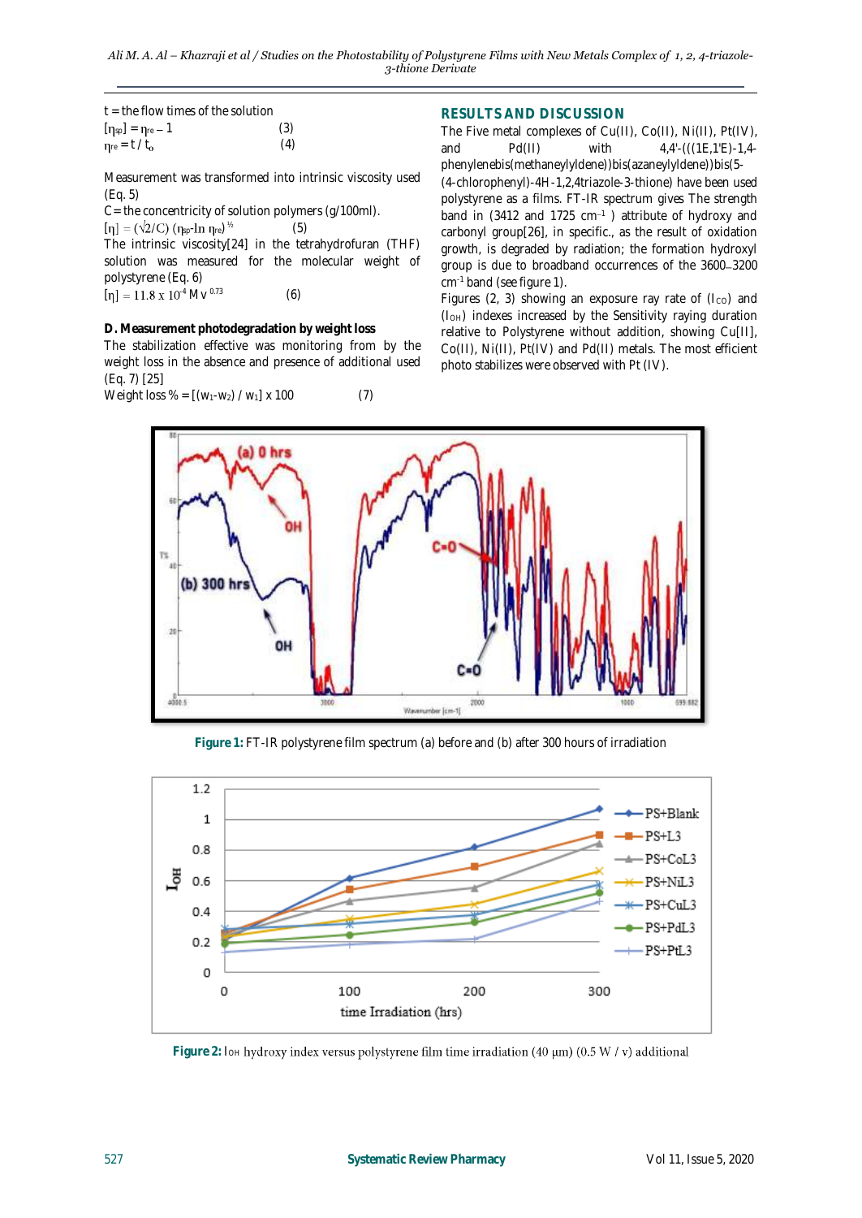| $t =$ the flow times of the solution  |     |
|---------------------------------------|-----|
| $[\eta_{sp}] = \eta_{re} - 1$         | (3) |
| $\eta_{\text{re}} = t / t_{\text{o}}$ | (4) |

Measurement was transformed into intrinsic viscosity used (Eq. 5)

C= the concentricity of solution polymers (g/100ml).

 $[\eta] = (\sqrt{2}/C) (\eta_{sp}\ln \eta_{re})^{\frac{1}{2}}$ 

The intrinsic viscosity[24] in the tetrahydrofuran (THF) solution was measured for the molecular weight of polystyrene (Eq. 6)  $[\eta] = 11.8 \times 10^{4}$  Mv <sup>0.73</sup> (6)

 $(5)$ 

**D. Measurement photodegradation by weight loss** The stabilization effective was monitoring from by the weight loss in the absence and presence of additional used (Eq. 7) [25]

Weight loss % = 
$$
[(w_1-w_2) / w_1] \times 100
$$
 (7)

## **RESULTS AND DISCUSSION**

The Five metal complexes of Cu(II), Co(II), Ni(II), Pt(IV),<br>and Pd(II) with  $4.4^{\prime}$ -(((1E,1'E)-1,4and Pd(II) with 4,4'-(((1E,1'E)-1,4phenylenebis(methaneylyldene))bis(azaneylyldene))bis(5- (4-chlorophenyl)-4*H*-1,2,4triazole-3-thione) have been used polystyrene as a films. FT-IR spectrum gives The strength band in (3412 and 1725  $cm^{-1}$ ) attribute of hydroxy and carbonyl group[26], in specific., as the result of oxidation growth, is degraded by radiation; the formation hydroxyl group is due to broadband occurrences of the 3600-3200 cm-1 band (see figure 1).

Figures (2, 3) showing an exposure ray rate of ( $I_{CO}$ ) and (IOH) indexes increased by the Sensitivity raying duration relative to Polystyrene without addition, showing Cu[II], Co(II), Ni(II), Pt(IV) and Pd(II) metals. The most efficient photo stabilizes were observed with Pt (IV).



**Figure 1:** FT-IR polystyrene film spectrum (a) before and (b) after 300 hours of irradiation



Figure 2: I<sub>OH</sub> hydroxy index versus polystyrene film time irradiation (40 µm) (0.5 W / v) additional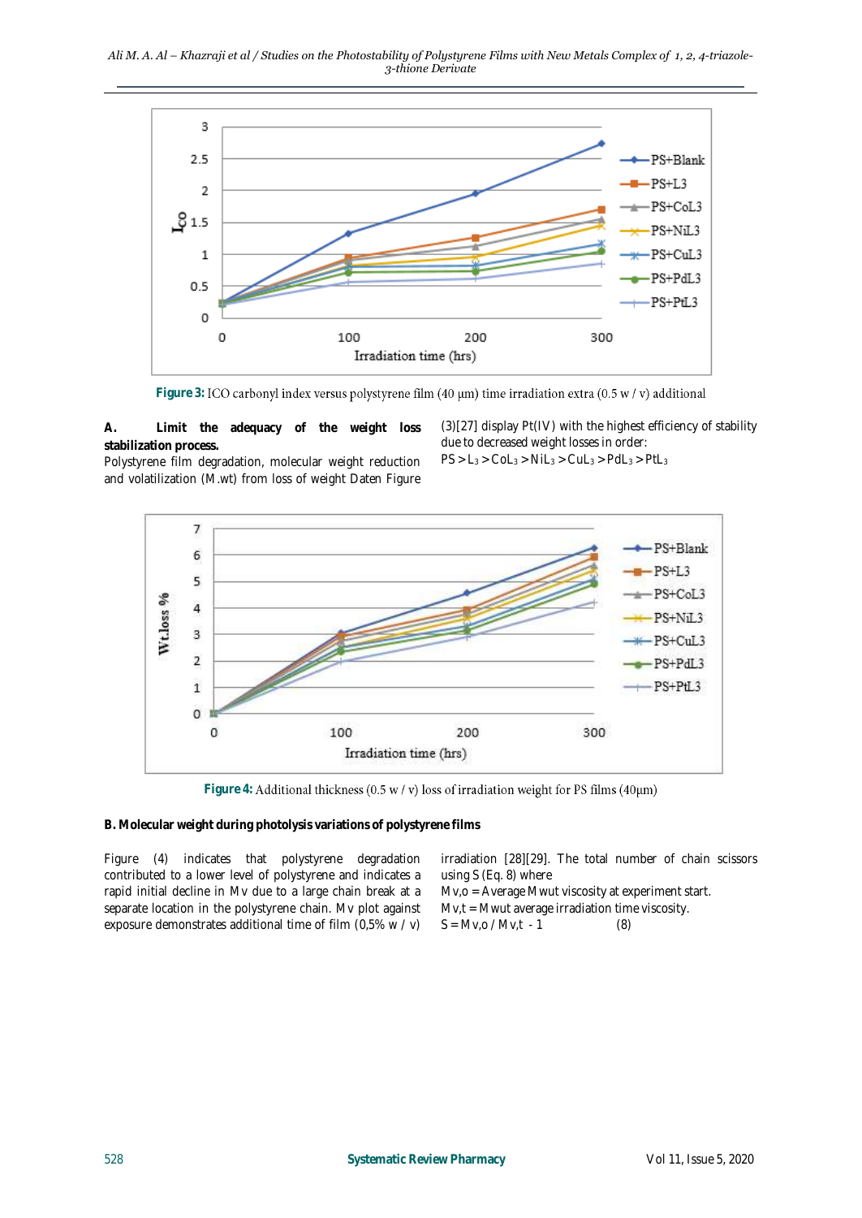*Ali M. A. Al – Khazraji et al / Studies on the Photostability of Polystyrene Films with New Metals Complex of 1, 2, 4-triazole-3-thione Derivate*



Figure 3: ICO carbonyl index versus polystyrene film (40 µm) time irradiation extra (0.5 w / v) additional

**A. Limit the adequacy of the weight loss stabilization process.**

(3)[27] display Pt(IV) with the highest efficiency of stability due to decreased weight losses in order:

Polystyrene film degradation, molecular weight reduction and volatilization (M.wt) from loss of weight Daten Figure

 $PS > L_3 > Col_3 > Nil_3 > Cul_3 > PdL_3 > PtL_3$ 



Figure 4: Additional thickness (0.5 w / v) loss of irradiation weight for PS films (40µm)

**B. Molecular weight during photolysis variations of polystyrene films**

| Figure (4) indicates that polystyrene degradation           | irradiation [28][29]. The total number of chain scissors |
|-------------------------------------------------------------|----------------------------------------------------------|
| contributed to a lower level of polystyrene and indicates a | using S (Eq. 8) where                                    |
| rapid initial decline in Mv due to a large chain break at a | $Mv, o = Average Mwut viscosity at experiment start.$    |
| separate location in the polystyrene chain. Mv plot against | $Mv,t = Mwut$ average irradiation time viscosity.        |
| exposure demonstrates additional time of film (0.5% w / v)  | $S = Mv_{,0} / Mv_{,t} - 1$<br>(8)                       |
|                                                             |                                                          |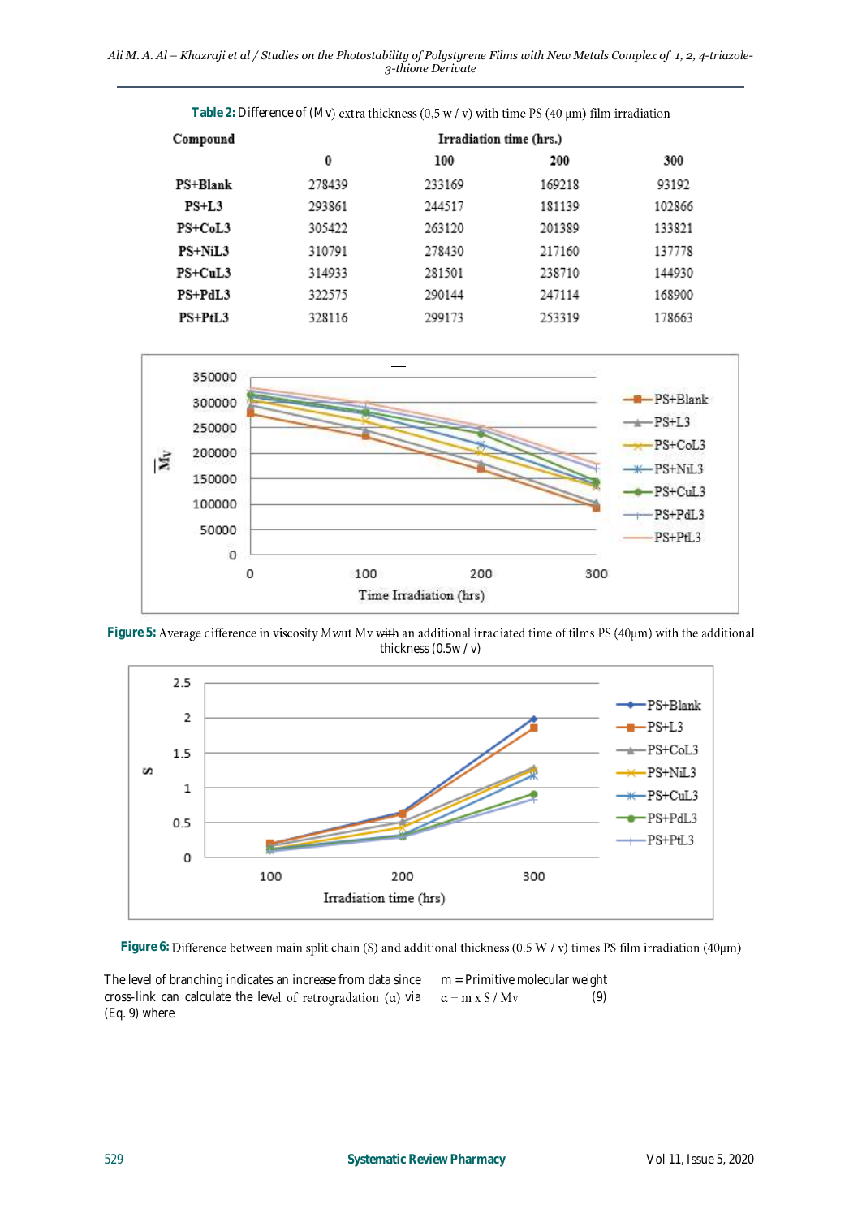*Ali M. A. Al – Khazraji et al / Studies on the Photostability of Polystyrene Films with New Metals Complex of 1, 2, 4-triazole-3-thione Derivate*

| Compound   | Irradiation time (hrs.) |        |        |        |
|------------|-------------------------|--------|--------|--------|
|            | 0                       | 100    | 200    | 300    |
| PS+Blank   | 278439                  | 233169 | 169218 | 93192  |
| $PS+L3$    | 293861                  | 244517 | 181139 | 102866 |
| $PS+CoI.3$ | 305422                  | 263120 | 201389 | 133821 |
| PS+NiL3    | 310791                  | 278430 | 217160 | 137778 |
| $PS+CuL3$  | 314933                  | 281501 | 238710 | 144930 |
| PS+PdL3    | 322575                  | 290144 | 247114 | 168900 |
| $PS+PtL3$  | 328116                  | 299173 | 253319 | 178663 |





Figure 5: Average difference in viscosity Mwut Mv with an additional irradiated time of films PS (40µm) with the additional thickness (0.5w / v)



Figure 6: Difference between main split chain (S) and additional thickness (0.5 W / v) times PS film irradiation (40µm)

The level of branching indicates an increase from data since cross-link can calculate the level of retrogradation  $(a)$  via (Eq. 9) where

m = Primitive molecular weight (9) $\alpha = m \times S / Mv$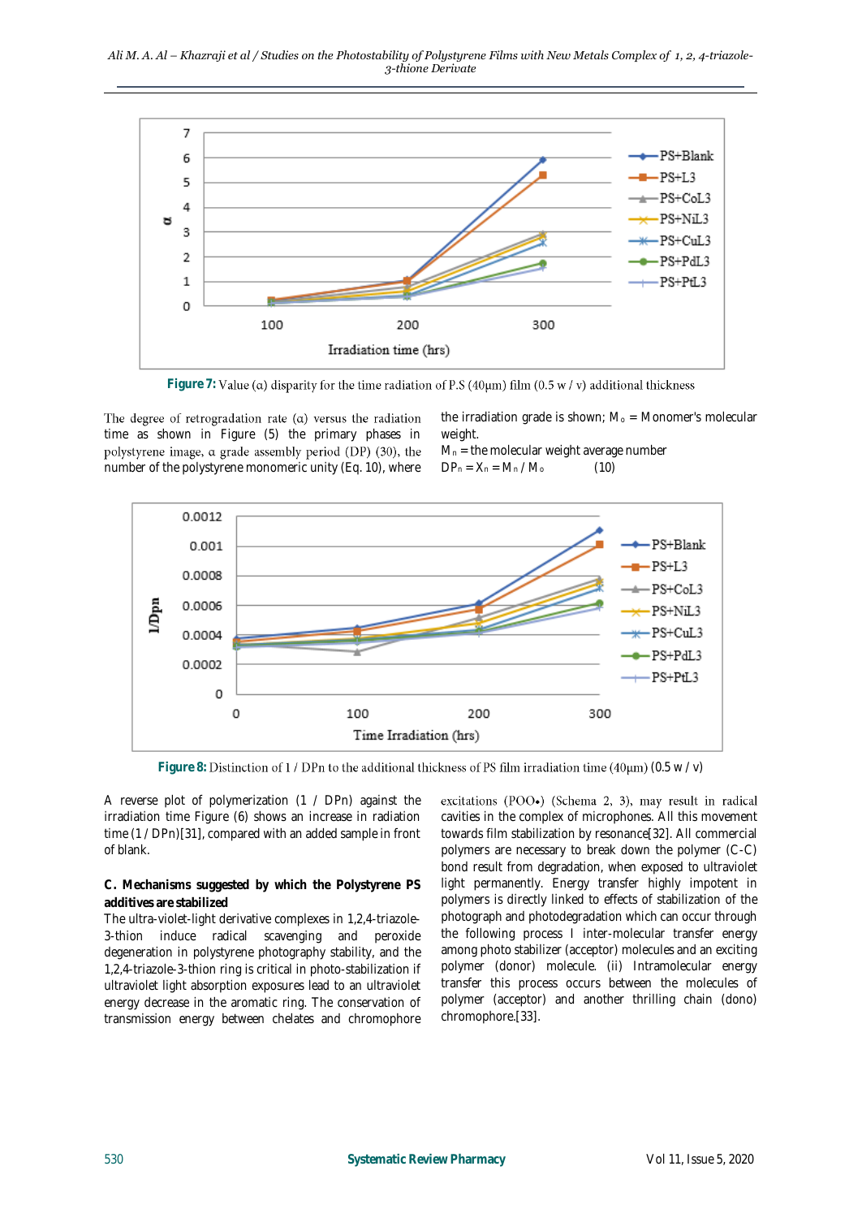*Ali M. A. Al – Khazraji et al / Studies on the Photostability of Polystyrene Films with New Metals Complex of 1, 2, 4-triazole-3-thione Derivate*



Figure 7: Value ( $\alpha$ ) disparity for the time radiation of P.S (40 $\mu$ m) film (0.5  $w / v$ ) additional thickness

The degree of retrogradation rate  $(\alpha)$  versus the radiation time as shown in Figure (5) the primary phases in polystyrene image,  $\alpha$  grade assembly period (DP) (30), the number of the polystyrene monomeric unity (Eq. 10), where

the irradiation grade is shown;  $M_0$  = Monomer's molecular weight.

 $M_n$  = the molecular weight average number  $DP_n = X_n = M_n / M_0$  (10)



Figure 8: Distinction of 1 / DPn to the additional thickness of PS film irradiation time (40 $\mu$ m) (0.5 w / v)

A reverse plot of polymerization (1 / DPn) against the irradiation time Figure (6) shows an increase in radiation time (1 / DPn)[31], compared with an added sample in front of blank.

**C. Mechanisms suggested by which the Polystyrene PS additives are stabilized**

The ultra-violet-light derivative complexes in 1,2,4-triazole-3-thion induce radical scavenging and peroxide degeneration in polystyrene photography stability, and the 1,2,4-triazole-3-thion ring is critical in photo-stabilization if ultraviolet light absorption exposures lead to an ultraviolet energy decrease in the aromatic ring. The conservation of transmission energy between chelates and chromophore

excitations (POO.) (Schema 2, 3), may result in radical cavities in the complex of microphones. All this movement towards film stabilization by resonance[32]. All commercial polymers are necessary to break down the polymer (C-C) bond result from degradation, when exposed to ultraviolet light permanently. Energy transfer highly impotent in polymers is directly linked to effects of stabilization of the photograph and photodegradation which can occur through the following process I inter-molecular transfer energy among photo stabilizer (acceptor) molecules and an exciting polymer (donor) molecule. (ii) Intramolecular energy transfer this process occurs between the molecules of polymer (acceptor) and another thrilling chain (dono) chromophore.[33].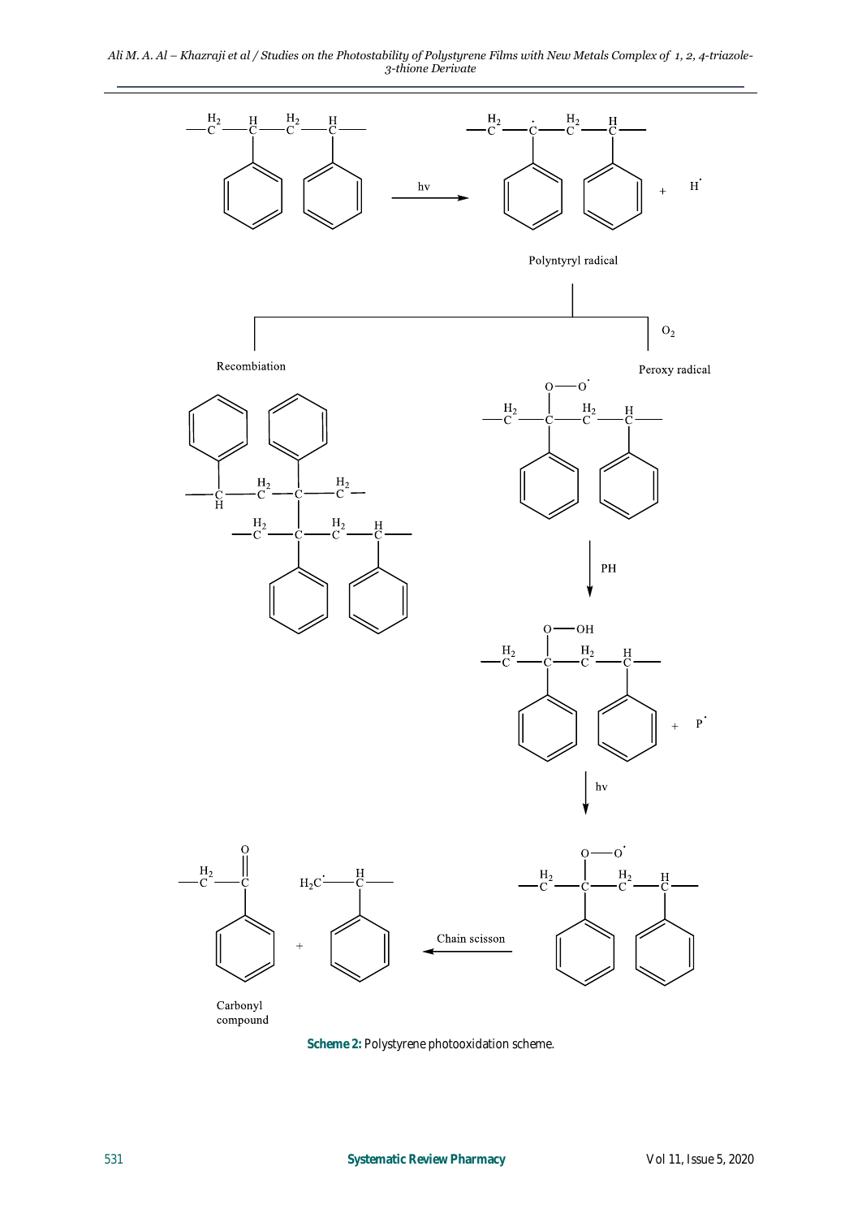*Ali M. A. Al – Khazraji et al / Studies on the Photostability of Polystyrene Films with New Metals Complex of 1, 2, 4-triazole-3-thione Derivate*



**Scheme 2:** Polystyrene photooxidation scheme.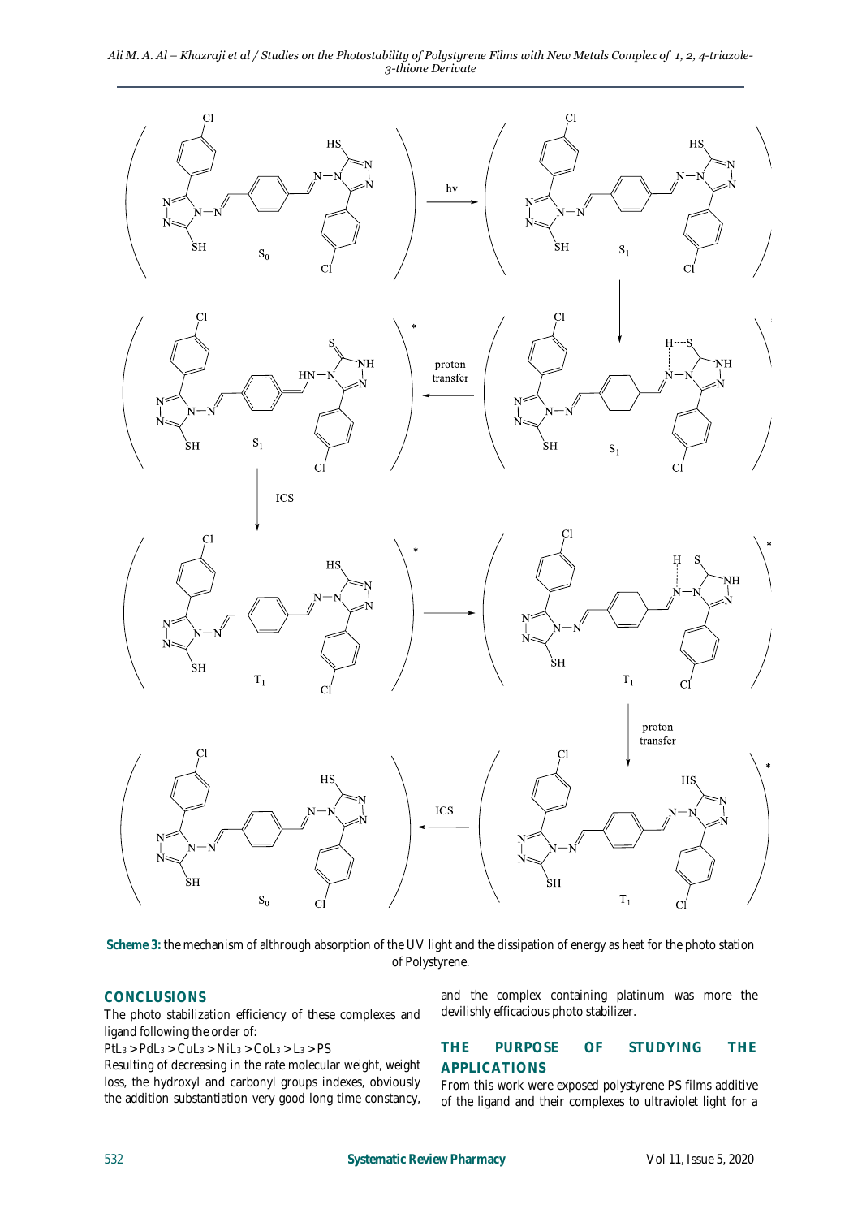*Ali M. A. Al – Khazraji et al / Studies on the Photostability of Polystyrene Films with New Metals Complex of 1, 2, 4-triazole-3-thione Derivate*



**Scheme 3:** the mechanism of althrough absorption of the UV light and the dissipation of energy as heat for the photo station of Polystyrene.

#### **CONCLUSIONS**

The photo stabilization efficiency of these complexes and ligand following the order of:

 $PtL_3 > PdL_3 > CuL_3 > NiL_3 > Col_3 > L_3 > PS$ 

Resulting of decreasing in the rate molecular weight, weight loss, the hydroxyl and carbonyl groups indexes, obviously the addition substantiation very good long time constancy, and the complex containing platinum was more the devilishly efficacious photo stabilizer.

## **THE PURPOSE OF STUDYING THE APPLICATIONS**

From this work were exposed polystyrene PS films additive of the ligand and their complexes to ultraviolet light for a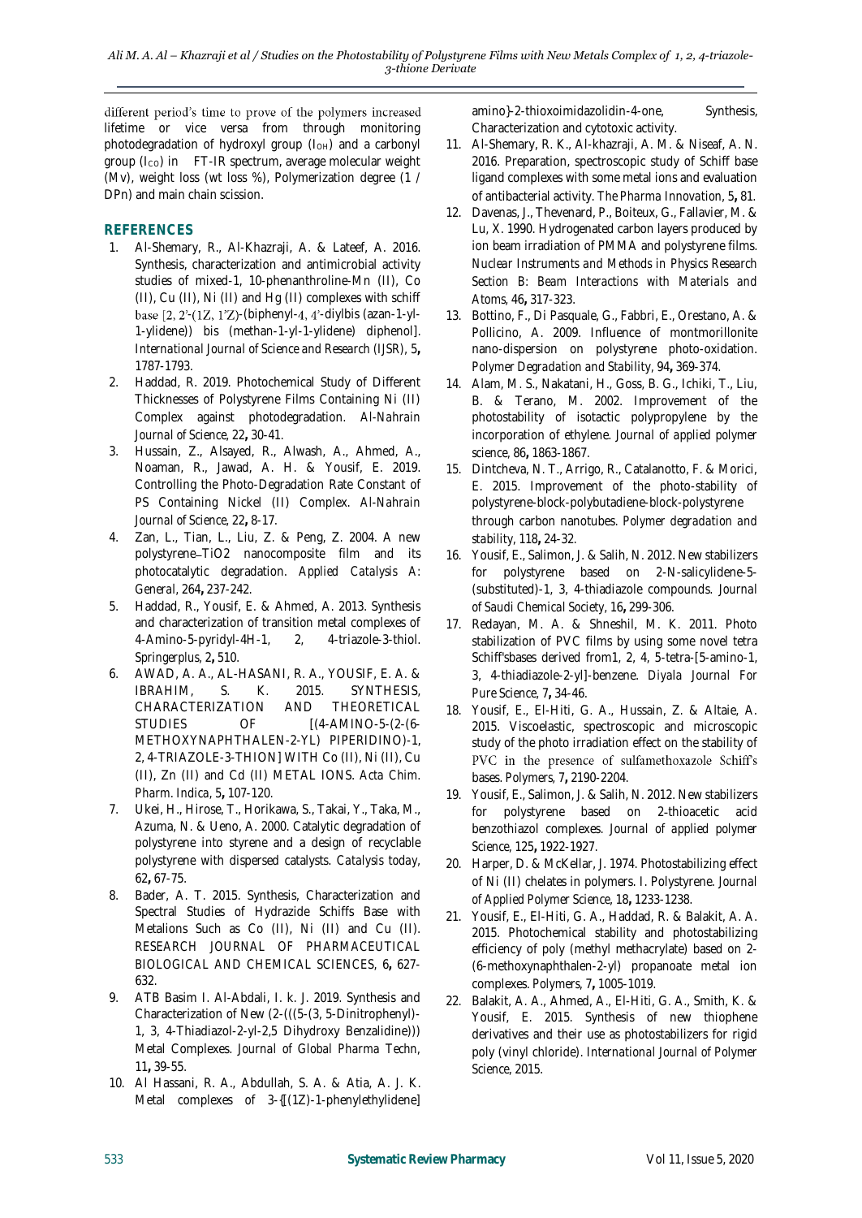different period's time to prove of the polymers increased lifetime or vice versa from through monitoring photodegradation of hydroxyl group  $(I<sub>OH</sub>)$  and a carbonyl group (Ico) in FT-IR spectrum, average molecular weight (Mv), weight loss (wt loss %), Polymerization degree (1 / DPn) and main chain scission.

## **REFERENCES**

- 1. Al-Shemary, R., Al-Khazraji, A. & Lateef, A. 2016. Synthesis, characterization and antimicrobial activity studies of mixed-1, 10-phenanthroline-Mn (II), Co (II), Cu (II), Ni (II) and Hg (II) complexes with schiff base  $[2, 2-(1Z, 1Z)$ -(biphenyl-4, 4'-diylbis (azan-1-yl-1-ylidene)) bis (methan-1-yl-1-ylidene) diphenol]. *International Journal of Science and Research (IJSR),* 5**,** 1787-1793.
- 2. Haddad, R. 2019. Photochemical Study of Different Thicknesses of Polystyrene Films Containing Ni (II) Complex against photodegradation. *Al-Nahrain Journal of Science,* 22**,** 30-41.
- 3. Hussain, Z., Alsayed, R., Alwash, A., Ahmed, A., Noaman, R., Jawad, A. H. & Yousif, E. 2019. Controlling the Photo-Degradation Rate Constant of PS Containing Nickel (II) Complex. *Al-Nahrain Journal of Science,* 22**,** 8-17.
- 4. Zan, L., Tian, L., Liu, Z. & Peng, Z. 2004. A new polystyrene-TiO2 nanocomposite film and its photocatalytic degradation. *Applied Catalysis A: General,* 264**,** 237-242.
- 5. Haddad, R., Yousif, E. & Ahmed, A. 2013. Synthesis and characterization of transition metal complexes of 4-Amino-5-pyridyl-4H-1, 2, 4-triazole-3-thiol. *Springerplus,* 2**,** 510.
- 6. AWAD, A. A., AL-HASANI, R. A., YOUSIF, E. A. & IBRAHIM, S. K. 2015. SYNTHESIS, CHARACTERIZATION AND THEORETICAL STUDIES OF  $[(4-AMINO-5-(2-(6-3))^{2}](4-AMINO-5-(2-(6-3))^{2})^{2}]^{2}$ METHOXYNAPHTHALEN-2-YL) PIPERIDINO)-1, 2, 4-TRIAZOLE-3-THION] WITH Co (II), Ni (II), Cu (II), Zn (II) and Cd (II) METAL IONS. *Acta Chim. Pharm. Indica,* 5**,** 107-120.
- 7. Ukei, H., Hirose, T., Horikawa, S., Takai, Y., Taka, M., Azuma, N. & Ueno, A. 2000. Catalytic degradation of polystyrene into styrene and a design of recyclable polystyrene with dispersed catalysts. *Catalysis today,* 62**,** 67-75.
- 8. Bader, A. T. 2015. Synthesis, Characterization and Spectral Studies of Hydrazide Schiffs Base with Metalions Such as Co (II), Ni (II) and Cu (II). *RESEARCH JOURNAL OF PHARMACEUTICAL BIOLOGICAL AND CHEMICAL SCIENCES,* 6**,** 627- 632.
- 9. ATB Basim I. Al-Abdali, I. k. J. 2019. Synthesis and Characterization of New (2-(((5-(3, 5-Dinitrophenyl)- 1, 3, 4-Thiadiazol-2-yl-2,5 Dihydroxy Benzalidine))) Metal Complexes. *Journal of Global Pharma Techn,* 11**,** 39-55.
- 10. Al Hassani, R. A., Abdullah, S. A. & Atia, A. J. K. Metal complexes of 3-{[(1Z)-1-phenylethylidene]

amino}-2-thioxoimidazolidin-4-one, Synthesis, Characterization and cytotoxic activity.

- 11. Al-Shemary, R. K., Al-khazraji, A. M. & Niseaf, A. N. 2016. Preparation, spectroscopic study of Schiff base ligand complexes with some metal ions and evaluation of antibacterial activity. *The Pharma Innovation,* 5**,** 81.
- 12. Davenas, J., Thevenard, P., Boiteux, G., Fallavier, M. & Lu, X. 1990. Hydrogenated carbon layers produced by ion beam irradiation of PMMA and polystyrene films. *Nuclear Instruments and Methods in Physics Research Section B: Beam Interactions with Materials and Atoms,* 46**,** 317-323.
- 13. Bottino, F., Di Pasquale, G., Fabbri, E., Orestano, A. & Pollicino, A. 2009. Influence of montmorillonite nano-dispersion on polystyrene photo-oxidation. *Polymer Degradation and Stability,* 94**,** 369-374.
- 14. Alam, M. S., Nakatani, H., Goss, B. G., Ichiki, T., Liu, B. & Terano, M. 2002. Improvement of the photostability of isotactic polypropylene by the incorporation of ethylene. *Journal of applied polymer science,* 86**,** 1863-1867.
- 15. Dintcheva, N. T., Arrigo, R., Catalanotto, F. & Morici, E. 2015. Improvement of the photo-stability of polystyrene-block-polybutadiene-block-polystyrene through carbon nanotubes. *Polymer degradation and stability,* 118**,** 24-32.
- 16. Yousif, E., Salimon, J. & Salih, N. 2012. New stabilizers for polystyrene based on 2-N-salicylidene-5- (substituted)-1, 3, 4-thiadiazole compounds. *Journal of Saudi Chemical Society,* 16**,** 299-306.
- 17. Redayan, M. A. & Shneshil, M. K. 2011. Photo stabilization of PVC films by using some novel tetra Schiff'sbases derived from1, 2, 4, 5-tetra-[5-amino-1, 3, 4-thiadiazole-2-yl]-benzene. *Diyala Journal For Pure Science,* 7**,** 34-46.
- 18. Yousif, E., El-Hiti, G. A., Hussain, Z. & Altaie, A. 2015. Viscoelastic, spectroscopic and microscopic study of the photo irradiation effect on the stability of PVC in the presence of sulfamethoxazole Schiff's bases. *Polymers,* 7**,** 2190-2204.
- 19. Yousif, E., Salimon, J. & Salih, N. 2012. New stabilizers for polystyrene based on 2‐thioacetic acid benzothiazol complexes. *Journal of applied polymer Science,* 125**,** 1922-1927.
- 20. Harper, D. & McKellar, J. 1974. Photostabilizing effect of Ni (II) chelates in polymers. I. Polystyrene. *Journal of Applied Polymer Science,* 18**,** 1233-1238.
- 21. Yousif, E., El-Hiti, G. A., Haddad, R. & Balakit, A. A. 2015. Photochemical stability and photostabilizing efficiency of poly (methyl methacrylate) based on 2- (6-methoxynaphthalen-2-yl) propanoate metal ion complexes. *Polymers,* 7**,** 1005-1019.
- 22. Balakit, A. A., Ahmed, A., El-Hiti, G. A., Smith, K. & Yousif, E. 2015. Synthesis of new thiophene derivatives and their use as photostabilizers for rigid poly (vinyl chloride). *International Journal of Polymer Science,* 2015.